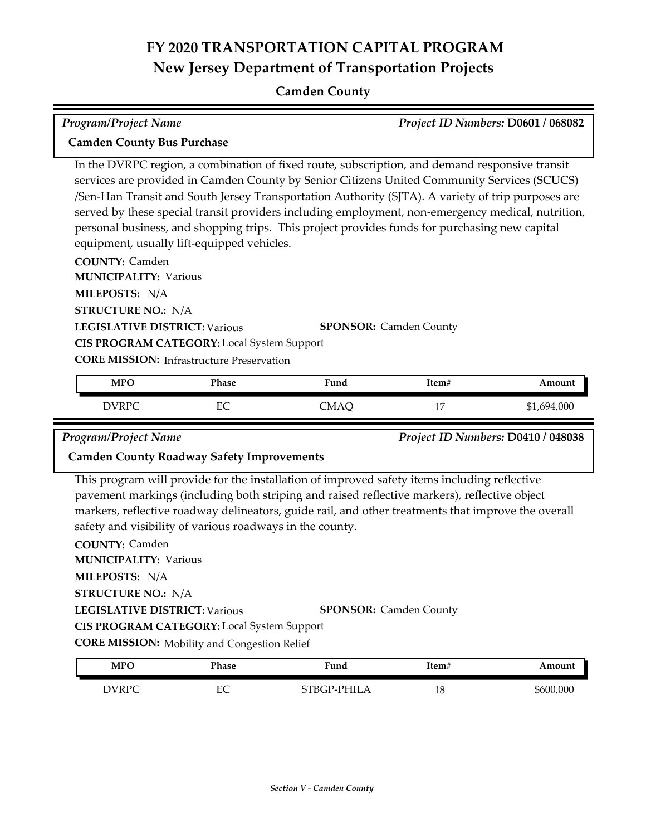### **Camden County**

In the DVRPC region, a combination of fixed route, subscription, and demand responsive transit services are provided in Camden County by Senior Citizens United Community Services (SCUCS) /Sen‐Han Transit and South Jersey Transportation Authority (SJTA). A variety of trip purposes are served by these special transit providers including employment, non-emergency medical, nutrition, personal business, and shopping trips. This project provides funds for purchasing new capital *Program/Project Name Project ID Numbers:* **D0601 / 068082 Camden County Bus Purchase**

equipment, usually lift-equipped vehicles.

**COUNTY:** Camden

**LEGISLATIVE DISTRICT:** Various **MILEPOSTS:** N/A **STRUCTURE NO.:** N/A **MUNICIPALITY: Various CORE MISSION:** Infrastructure Preservation **SPONSOR:** Camden County **CIS PROGRAM CATEGORY:** Local System Support

| <b>MPO</b> | Phase   | -<br>Fund | Item#                | Amount      |
|------------|---------|-----------|----------------------|-------------|
| DVRPC      | гΩ<br>∽ | CMAQ      | 1 <sub>1</sub><br>÷, | \$1,694,000 |

*Program/Project Name Project ID Numbers:* **D0410 / 048038**

#### **Camden County Roadway Safety Improvements**

This program will provide for the installation of improved safety items including reflective pavement markings (including both striping and raised reflective markers), reflective object markers, reflective roadway delineators, guide rail, and other treatments that improve the overall safety and visibility of various roadways in the county.

**COUNTY:** Camden **LEGISLATIVE DISTRICT:** Various **MILEPOSTS:** N/A **STRUCTURE NO.:** N/A **MUNICIPALITY: Various CORE MISSION:** Mobility and Congestion Relief **SPONSOR:** Camden County **CIS PROGRAM CATEGORY:** Local System Support

| <b>MPO</b> | Phase   | 'und        | 1tem# | Amount    |
|------------|---------|-------------|-------|-----------|
| DVRPC      | гΩ<br>ᄄ | STBGP-PHILA | 18    | \$600,000 |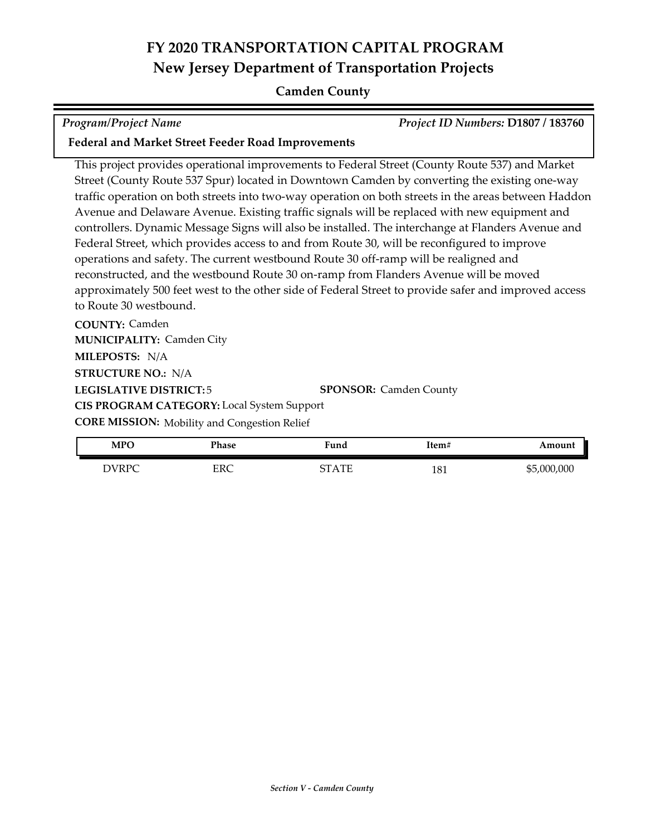### **Camden County**

*Program/Project Name Project ID Numbers:* **D1807 / 183760**

### **Federal and Market Street Feeder Road Improvements**

This project provides operational improvements to Federal Street (County Route 537) and Market Street (County Route 537 Spur) located in Downtown Camden by converting the existing one-way traffic operation on both streets into two-way operation on both streets in the areas between Haddon Avenue and Delaware Avenue. Existing traffic signals will be replaced with new equipment and controllers. Dynamic Message Signs will also be installed. The interchange at Flanders Avenue and Federal Street, which provides access to and from Route 30, will be reconfigured to improve operations and safety. The current westbound Route 30 off-ramp will be realigned and reconstructed, and the westbound Route 30 on-ramp from Flanders Avenue will be moved approximately 500 feet west to the other side of Federal Street to provide safer and improved access to Route 30 westbound.

**COUNTY:** Camden **LEGISLATIVE DISTRICT:** 5 **MILEPOSTS:** N/A **STRUCTURE NO.:** N/A **MUNICIPALITY: Camden City CORE MISSION:** Mobility and Congestion Relief **SPONSOR:** Camden County **CIS PROGRAM CATEGORY:** Local System Support

| MPC          | Phase | ∀und         | Item# | mouni       |
|--------------|-------|--------------|-------|-------------|
| <b>DVRPC</b> | FDC   | ' A TE<br>∼⊤ | 181   | \$5,000,000 |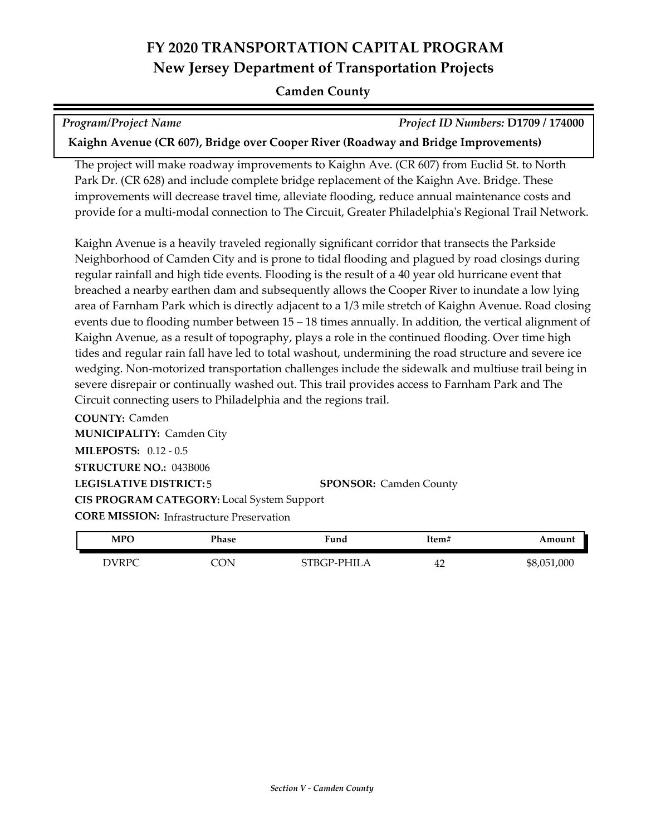#### **Camden County**

*Program/Project Name Project ID Numbers:* **D1709 / 174000**

**Kaighn Avenue (CR 607), Bridge over Cooper River (Roadway and Bridge Improvements)**

The project will make roadway improvements to Kaighn Ave. (CR 607) from Euclid St. to North Park Dr. (CR 628) and include complete bridge replacement of the Kaighn Ave. Bridge. These improvements will decrease travel time, alleviate flooding, reduce annual maintenance costs and provide for a multi-modal connection to The Circuit, Greater Philadelphia's Regional Trail Network.

Kaighn Avenue is a heavily traveled regionally significant corridor that transects the Parkside Neighborhood of Camden City and is prone to tidal flooding and plagued by road closings during regular rainfall and high tide events. Flooding is the result of a 40 year old hurricane event that breached a nearby earthen dam and subsequently allows the Cooper River to inundate a low lying area of Farnham Park which is directly adjacent to a 1/3 mile stretch of Kaighn Avenue. Road closing events due to flooding number between 15 – 18 times annually. In addition, the vertical alignment of Kaighn Avenue, as a result of topography, plays a role in the continued flooding. Over time high tides and regular rain fall have led to total washout, undermining the road structure and severe ice wedging. Non-motorized transportation challenges include the sidewalk and multiuse trail being in severe disrepair or continually washed out. This trail provides access to Farnham Park and The Circuit connecting users to Philadelphia and the regions trail.

**COUNTY:** Camden **LEGISLATIVE DISTRICT:** 5 **MILEPOSTS:** 0.12 - 0.5 **STRUCTURE NO.:** 043B006 **MUNICIPALITY: Camden City CORE MISSION:** Infrastructure Preservation **SPONSOR:** Camden County **CIS PROGRAM CATEGORY:** Local System Support

| MPO          | Phase | Fund        | Item# | Amount      |
|--------------|-------|-------------|-------|-------------|
| <b>DVRPC</b> | CON   | STBGP-PHILA | 42    | \$8,051,000 |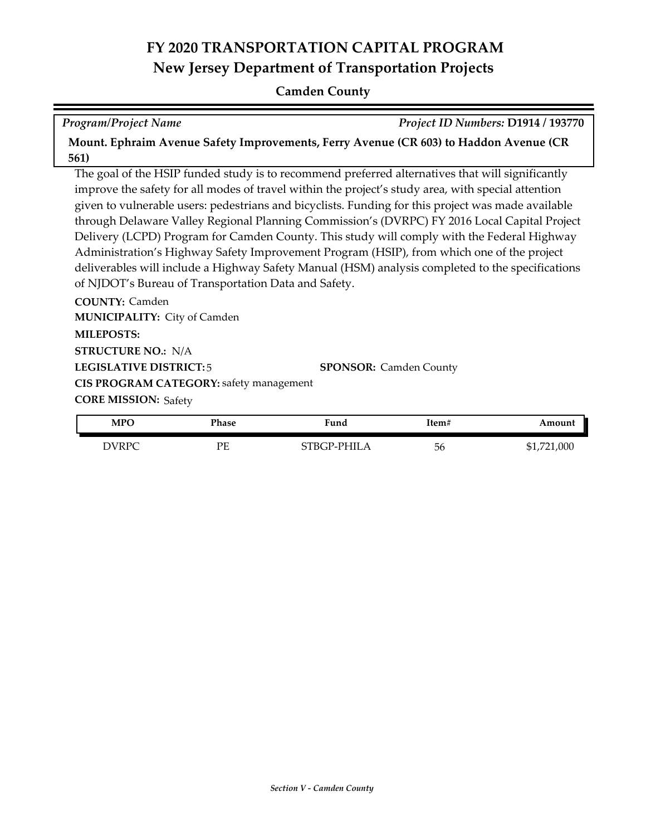#### **Camden County**

*Program/Project Name Project ID Numbers:* **D1914 / 193770**

**Mount. Ephraim Avenue Safety Improvements, Ferry Avenue (CR 603) to Haddon Avenue (CR 561)**

The goal of the HSIP funded study is to recommend preferred alternatives that will significantly improve the safety for all modes of travel within the project's study area, with special attention given to vulnerable users: pedestrians and bicyclists. Funding for this project was made available through Delaware Valley Regional Planning Commission's (DVRPC) FY 2016 Local Capital Project Delivery (LCPD) Program for Camden County. This study will comply with the Federal Highway Administration's Highway Safety Improvement Program (HSIP), from which one of the project deliverables will include a Highway Safety Manual (HSM) analysis completed to the specifications of NJDOT's Bureau of Transportation Data and Safety.

**COUNTY:** Camden **LEGISLATIVE DISTRICT:** 5 **MILEPOSTS: STRUCTURE NO.:** N/A **MUNICIPALITY: City of Camden CORE MISSION: Safety SPONSOR:** Camden County **CIS PROGRAM CATEGORY:** safety management

| <b>MPO</b> | Phase | Fund        | Item# | Amount      |
|------------|-------|-------------|-------|-------------|
| DVRPC      | PE    | STBGP-PHILA | 56    | \$1,721,000 |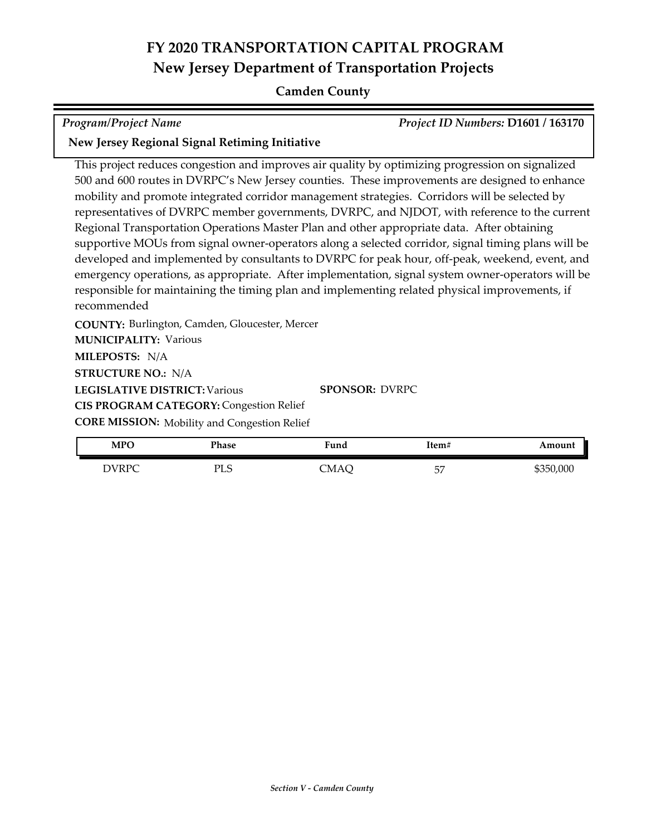### **Camden County**

*Program/Project Name Project ID Numbers:* **D1601 / 163170**

### **New Jersey Regional Signal Retiming Initiative**

This project reduces congestion and improves air quality by optimizing progression on signalized 500 and 600 routes in DVRPC's New Jersey counties. These improvements are designed to enhance mobility and promote integrated corridor management strategies. Corridors will be selected by representatives of DVRPC member governments, DVRPC, and NJDOT, with reference to the current Regional Transportation Operations Master Plan and other appropriate data. After obtaining supportive MOUs from signal owner-operators along a selected corridor, signal timing plans will be developed and implemented by consultants to DVRPC for peak hour, off-peak, weekend, event, and emergency operations, as appropriate. After implementation, signal system owner-operators will be responsible for maintaining the timing plan and implementing related physical improvements, if recommended

**COUNTY:** Burlington, Camden, Gloucester, Mercer **MILEPOSTS:** N/A **STRUCTURE NO.:** N/A **MUNICIPALITY: Various** 

**LEGISLATIVE DISTRICT:** Various

**SPONSOR:** DVRPC

**CIS PROGRAM CATEGORY: Congestion Relief** 

**CORE MISSION:** Mobility and Congestion Relief

| <b>MPO</b> | Phase      | Fund | Item#     | Amount    |
|------------|------------|------|-----------|-----------|
| DVRPC      | πт<br>ن سا | CMAÇ | 57<br>, ب | \$350,000 |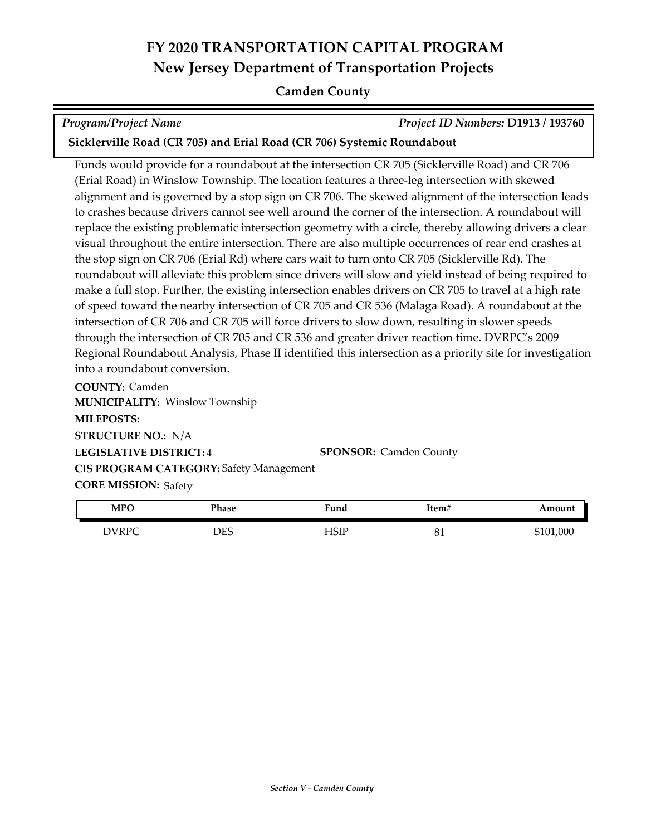#### **Camden County**

*Program/Project Name Project ID Numbers:* **D1913 / 193760**

**Sicklerville Road (CR 705) and Erial Road (CR 706) Systemic Roundabout**

Funds would provide for a roundabout at the intersection CR 705 (Sicklerville Road) and CR 706 (Erial Road) in Winslow Township. The location features a three-leg intersection with skewed alignment and is governed by a stop sign on CR 706. The skewed alignment of the intersection leads to crashes because drivers cannot see well around the corner of the intersection. A roundabout will replace the existing problematic intersection geometry with a circle, thereby allowing drivers a clear visual throughout the entire intersection. There are also multiple occurrences of rear end crashes at the stop sign on CR 706 (Erial Rd) where cars wait to turn onto CR 705 (Sicklerville Rd). The roundabout will alleviate this problem since drivers will slow and yield instead of being required to make a full stop. Further, the existing intersection enables drivers on CR 705 to travel at a high rate of speed toward the nearby intersection of CR 705 and CR 536 (Malaga Road). A roundabout at the intersection of CR 706 and CR 705 will force drivers to slow down, resulting in slower speeds through the intersection of CR 705 and CR 536 and greater driver reaction time. DVRPC's 2009 Regional Roundabout Analysis, Phase II identified this intersection as a priority site for investigation into a roundabout conversion.

**COUNTY:** Camden **LEGISLATIVE DISTRICT:** 4 **MILEPOSTS: STRUCTURE NO.:** N/A **MUNICIPALITY: Winslow Township CORE MISSION: Safety SPONSOR:** Camden County **CIS PROGRAM CATEGORY:** Safety Management

| <b>MPO</b>   | Phase | Fund | Item#    | Amount    |
|--------------|-------|------|----------|-----------|
| <b>DVRPC</b> | DES   | HSIP | $\sigma$ | \$101,000 |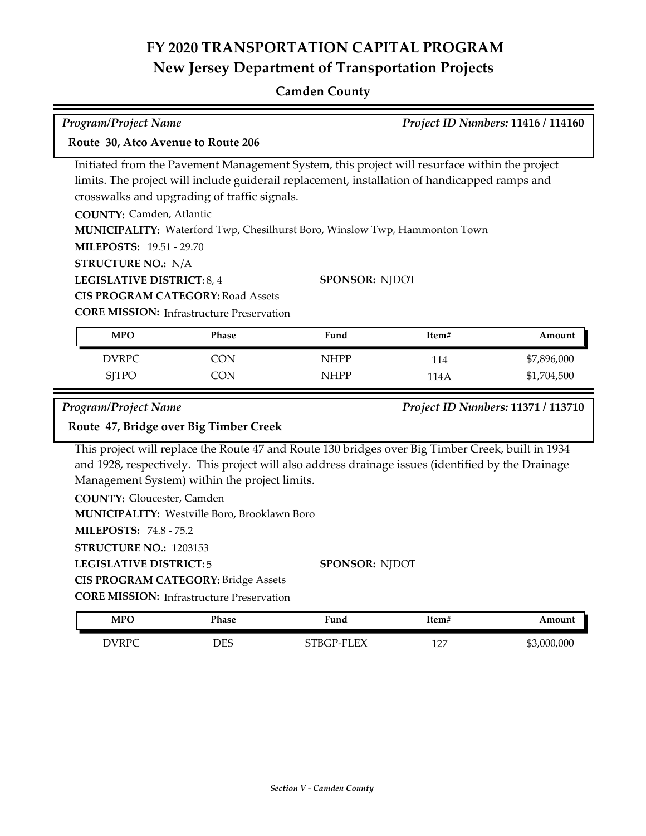## **Camden County**

| <b>Program/Project Name</b><br>Project ID Numbers: 11416 / 114160                                                                                                                                                                                                                                                                                                                                                                                                                                                                                                               |                                        |             |       |                                    |  |
|---------------------------------------------------------------------------------------------------------------------------------------------------------------------------------------------------------------------------------------------------------------------------------------------------------------------------------------------------------------------------------------------------------------------------------------------------------------------------------------------------------------------------------------------------------------------------------|----------------------------------------|-------------|-------|------------------------------------|--|
| Route 30, Atco Avenue to Route 206                                                                                                                                                                                                                                                                                                                                                                                                                                                                                                                                              |                                        |             |       |                                    |  |
| Initiated from the Pavement Management System, this project will resurface within the project<br>limits. The project will include guiderail replacement, installation of handicapped ramps and<br>crosswalks and upgrading of traffic signals.<br><b>COUNTY: Camden, Atlantic</b><br>MUNICIPALITY: Waterford Twp, Chesilhurst Boro, Winslow Twp, Hammonton Town<br><b>MILEPOSTS: 19.51 - 29.70</b><br><b>STRUCTURE NO.: N/A</b><br>SPONSOR: NJDOT<br>LEGISLATIVE DISTRICT: 8, 4<br><b>CIS PROGRAM CATEGORY: Road Assets</b><br><b>CORE MISSION:</b> Infrastructure Preservation |                                        |             |       |                                    |  |
| <b>MPO</b>                                                                                                                                                                                                                                                                                                                                                                                                                                                                                                                                                                      | <b>Phase</b>                           | Fund        | Item# | Amount                             |  |
| <b>DVRPC</b>                                                                                                                                                                                                                                                                                                                                                                                                                                                                                                                                                                    | <b>CON</b>                             | <b>NHPP</b> | 114   | \$7,896,000                        |  |
| <b>SJTPO</b>                                                                                                                                                                                                                                                                                                                                                                                                                                                                                                                                                                    | <b>CON</b>                             | <b>NHPP</b> | 114A  | \$1,704,500                        |  |
| Program/Project Name                                                                                                                                                                                                                                                                                                                                                                                                                                                                                                                                                            |                                        |             |       | Project ID Numbers: 11371 / 113710 |  |
|                                                                                                                                                                                                                                                                                                                                                                                                                                                                                                                                                                                 | Route 47, Bridge over Big Timber Creek |             |       |                                    |  |
| This project will replace the Route 47 and Route 130 bridges over Big Timber Creek, built in 1934<br>and 1928, respectively. This project will also address drainage issues (identified by the Drainage<br>Management System) within the project limits.<br><b>COUNTY: Gloucester, Camden</b><br>MUNICIPALITY: Westville Boro, Brooklawn Boro<br><b>MILEPOSTS: 74.8 - 75.2</b><br>STRUCTURE NO.: 1203153<br><b>LEGISLATIVE DISTRICT:5</b><br>SPONSOR: NJDOT                                                                                                                     |                                        |             |       |                                    |  |
| <b>CIS PROGRAM CATEGORY: Bridge Assets</b><br><b>CORE MISSION:</b> Infrastructure Preservation                                                                                                                                                                                                                                                                                                                                                                                                                                                                                  |                                        |             |       |                                    |  |
| <b>MPO</b>                                                                                                                                                                                                                                                                                                                                                                                                                                                                                                                                                                      | <b>Phase</b>                           | Fund        | Item# | Amount                             |  |
| <b>DVRPC</b>                                                                                                                                                                                                                                                                                                                                                                                                                                                                                                                                                                    | <b>DES</b>                             | STBGP-FLEX  | 127   | \$3,000,000                        |  |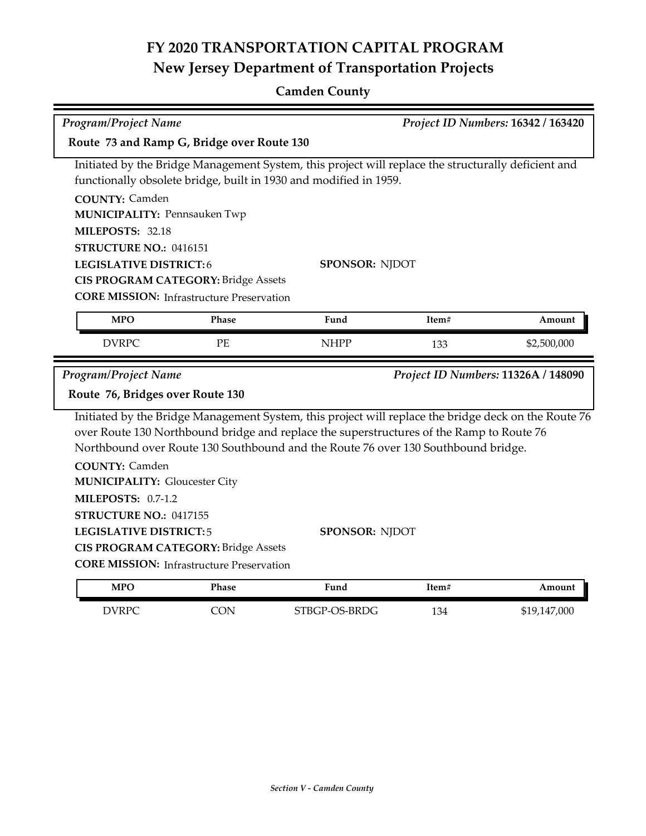## **Camden County**

| <b>Program/Project Name</b>                                                                                                                                                                                                                                                                                    |                                                  |                                                                                                                                                                          |       | Project ID Numbers: 16342 / 163420  |
|----------------------------------------------------------------------------------------------------------------------------------------------------------------------------------------------------------------------------------------------------------------------------------------------------------------|--------------------------------------------------|--------------------------------------------------------------------------------------------------------------------------------------------------------------------------|-------|-------------------------------------|
| Route 73 and Ramp G, Bridge over Route 130                                                                                                                                                                                                                                                                     |                                                  |                                                                                                                                                                          |       |                                     |
|                                                                                                                                                                                                                                                                                                                |                                                  | Initiated by the Bridge Management System, this project will replace the structurally deficient and<br>functionally obsolete bridge, built in 1930 and modified in 1959. |       |                                     |
| <b>COUNTY: Camden</b><br><b>MUNICIPALITY: Pennsauken Twp</b>                                                                                                                                                                                                                                                   |                                                  |                                                                                                                                                                          |       |                                     |
| MILEPOSTS: 32.18                                                                                                                                                                                                                                                                                               |                                                  |                                                                                                                                                                          |       |                                     |
| STRUCTURE NO.: 0416151                                                                                                                                                                                                                                                                                         |                                                  |                                                                                                                                                                          |       |                                     |
| <b>LEGISLATIVE DISTRICT:6</b>                                                                                                                                                                                                                                                                                  | <b>CIS PROGRAM CATEGORY: Bridge Assets</b>       | <b>SPONSOR: NJDOT</b>                                                                                                                                                    |       |                                     |
|                                                                                                                                                                                                                                                                                                                | <b>CORE MISSION:</b> Infrastructure Preservation |                                                                                                                                                                          |       |                                     |
|                                                                                                                                                                                                                                                                                                                |                                                  |                                                                                                                                                                          |       |                                     |
| <b>MPO</b>                                                                                                                                                                                                                                                                                                     | Phase                                            | Fund                                                                                                                                                                     | Item# | Amount                              |
| <b>DVRPC</b>                                                                                                                                                                                                                                                                                                   | PE                                               | <b>NHPP</b>                                                                                                                                                              | 133   | \$2,500,000                         |
| <b>Program/Project Name</b>                                                                                                                                                                                                                                                                                    |                                                  |                                                                                                                                                                          |       | Project ID Numbers: 11326A / 148090 |
| Route 76, Bridges over Route 130                                                                                                                                                                                                                                                                               |                                                  |                                                                                                                                                                          |       |                                     |
| Initiated by the Bridge Management System, this project will replace the bridge deck on the Route 76<br>over Route 130 Northbound bridge and replace the superstructures of the Ramp to Route 76<br>Northbound over Route 130 Southbound and the Route 76 over 130 Southbound bridge.<br><b>COUNTY: Camden</b> |                                                  |                                                                                                                                                                          |       |                                     |
| <b>MUNICIPALITY: Gloucester City</b>                                                                                                                                                                                                                                                                           |                                                  |                                                                                                                                                                          |       |                                     |
| <b>MILEPOSTS: 0.7-1.2</b>                                                                                                                                                                                                                                                                                      |                                                  |                                                                                                                                                                          |       |                                     |
| STRUCTURE NO.: 0417155                                                                                                                                                                                                                                                                                         |                                                  |                                                                                                                                                                          |       |                                     |
| <b>LEGISLATIVE DISTRICT:5</b>                                                                                                                                                                                                                                                                                  |                                                  | <b>SPONSOR: NJDOT</b>                                                                                                                                                    |       |                                     |
| <b>CIS PROGRAM CATEGORY: Bridge Assets</b><br><b>CORE MISSION:</b> Infrastructure Preservation                                                                                                                                                                                                                 |                                                  |                                                                                                                                                                          |       |                                     |
|                                                                                                                                                                                                                                                                                                                |                                                  |                                                                                                                                                                          |       |                                     |
| <b>MPO</b>                                                                                                                                                                                                                                                                                                     | Phase                                            | Fund                                                                                                                                                                     | Item# | Amount                              |
| <b>DVRPC</b>                                                                                                                                                                                                                                                                                                   | CON                                              | STBGP-OS-BRDG                                                                                                                                                            | 134   | \$19,147,000                        |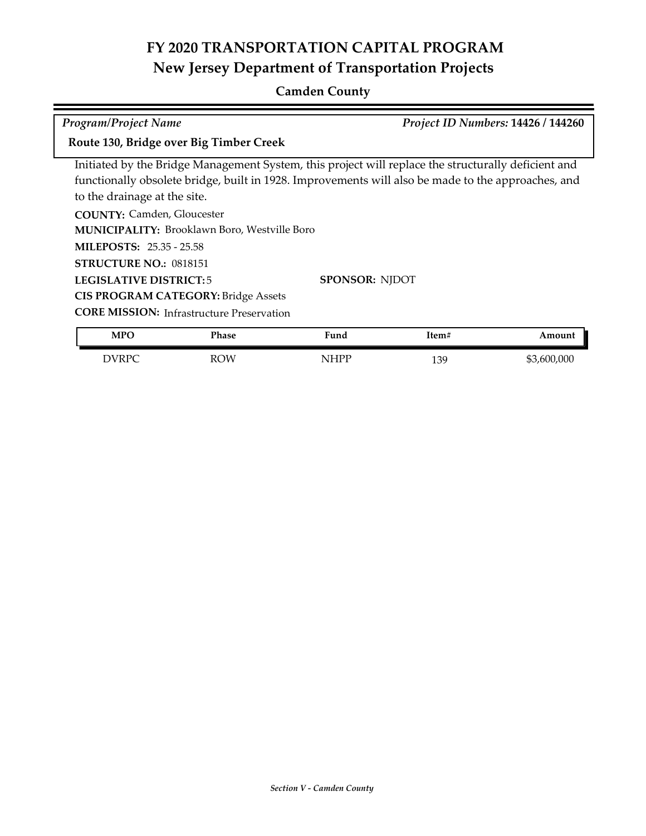### **Camden County**

**COUNTY:** Camden, Gloucester **MUNICIPALITY: Brooklawn Boro, Westville Boro** Initiated by the Bridge Management System, this project will replace the structurally deficient and functionally obsolete bridge, built in 1928. Improvements will also be made to the approaches, and to the drainage at the site. *Program/Project Name Project ID Numbers:* **14426 / 144260 Route 130, Bridge over Big Timber Creek**

**MILEPOSTS:** 25.35 - 25.58

**STRUCTURE NO.:** 0818151

**LEGISLATIVE DISTRICT:** 5

**CIS PROGRAM CATEGORY:** Bridge Assets

**CORE MISSION:** Infrastructure Preservation

| <b>MPO</b>   | Phase | . .<br>Fund | Item# | Amount      |
|--------------|-------|-------------|-------|-------------|
| <b>DVRPC</b> | ROW   | NHPP        | 139   | \$3,600,000 |

**SPONSOR:** NJDOT